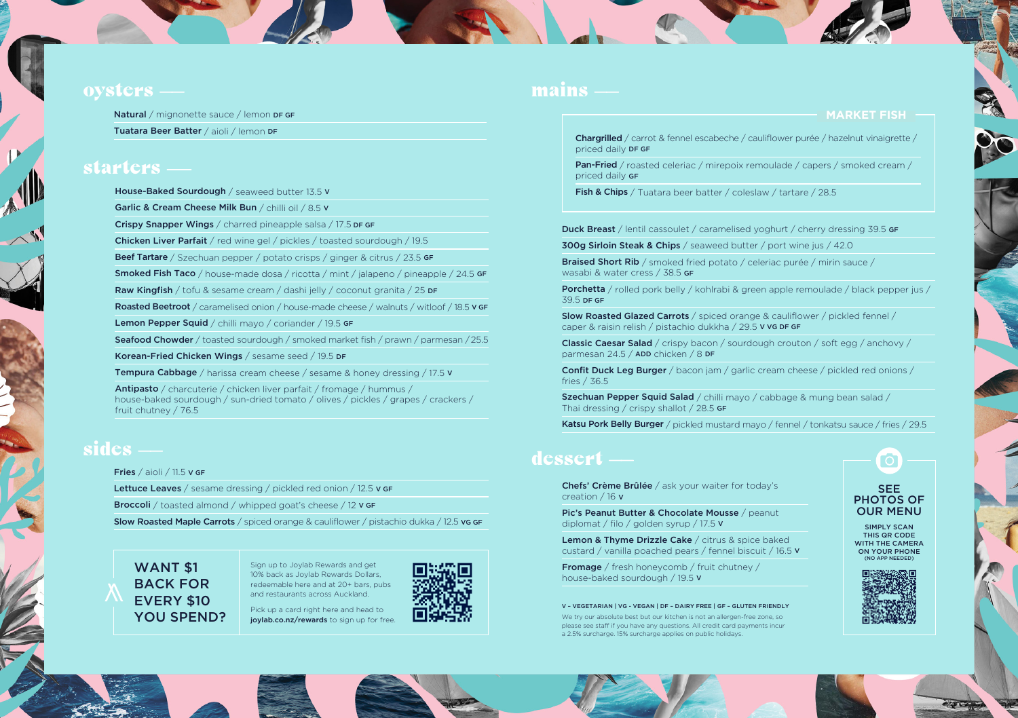#### oysters

Natural / mignonette sauce / lemon DF GF Tuatara Beer Batter / aioli / lemon DF

#### starters

House-Baked Sourdough / seaweed butter 13.5 v

Garlic & Cream Cheese Milk Bun / chilli oil / 8.5 V

Crispy Snapper Wings / charred pineapple salsa / 17.5 DF GF

Chicken Liver Parfait / red wine gel / pickles / toasted sourdough / 19.5

Beef Tartare / Szechuan pepper / potato crisps / ginger & citrus / 23.5 GF

Smoked Fish Taco / house-made dosa / ricotta / mint / jalapeno / pineapple / 24.5 GF

Raw Kingfish / tofu & sesame cream / dashi jelly / coconut granita / 25 DF

Roasted Beetroot / caramelised onion / house-made cheese / walnuts / witloof / 18.5 v GF

Lemon Pepper Squid / chilli mayo / coriander / 19.5 GF

Seafood Chowder / toasted sourdough / smoked market fish / prawn / parmesan / 25.5

Korean-Fried Chicken Wings / sesame seed / 19.5 DF

Tempura Cabbage / harissa cream cheese / sesame & honey dressing / 17.5 v

Antipasto / charcuterie / chicken liver parfait / fromage / hummus / house-baked sourdough / sun-dried tomato / olives / pickles / grapes / crackers / fruit chutney / 76.5

### sides

Fries / aioli / 11.5 V GF

Lettuce Leaves / sesame dressing / pickled red onion / 12.5 v GF

Broccoli / toasted almond / whipped goat's cheese / 12 v GF

Slow Roasted Maple Carrots / spiced orange & cauliflower / pistachio dukka / 12.5 vg GF

#### WANT \$1 BACK FOR EVERY \$10 YOU SPEND?

Sign up to Joylab Rewards and get 10% back as Joylab Rewards Dollars, redeemable here and at 20+ bars, pubs and restaurants across Auckland.

Pick up a card right here and head to joylab.co.nz/rewards to sign up for free.



#### mains

#### **MARKET FISH**

Chargrilled / carrot & fennel escabeche / cauliflower purée / hazelnut vinaigrette / priced daily DF GF

Pan-Fried / roasted celeriac / mirepoix remoulade / capers / smoked cream / priced daily GF

Fish & Chips / Tuatara beer batter / coleslaw / tartare / 28.5

Duck Breast / lentil cassoulet / caramelised yoghurt / cherry dressing 39.5 GF

300g Sirloin Steak & Chips / seaweed butter / port wine jus / 42.0

Braised Short Rib / smoked fried potato / celeriac purée / mirin sauce / wasabi & water cress / 38.5 GF

Porchetta / rolled pork belly / kohlrabi & green apple remoulade / black pepper jus / 39.5 DF GF

Slow Roasted Glazed Carrots / spiced orange & cauliflower / pickled fennel / caper & raisin relish / pistachio dukkha / 29.5 V VG DF GF

Classic Caesar Salad / crispy bacon / sourdough crouton / soft egg / anchovy / parmesan 24.5 / ADD chicken / 8 DF

Confit Duck Leg Burger / bacon jam / garlic cream cheese / pickled red onions / fries / 36.5

Szechuan Pepper Squid Salad / chilli mayo / cabbage & mung bean salad / Thai dressing / crispy shallot / 28.5 GF

Katsu Pork Belly Burger / pickled mustard mayo / fennel / tonkatsu sauce / fries / 29.5

#### dessert

Chefs' Crème Brûlée / ask your waiter for today's creation / 16 V

Pic's Peanut Butter & Chocolate Mousse / peanut diplomat / filo / golden syrup / 17.5 V

Lemon & Thyme Drizzle Cake / citrus & spice baked custard / vanilla poached pears / fennel biscuit / 16.5 V

Fromage / fresh honeycomb / fruit chutney / house-baked sourdough / 19.5 V

V – VEGETARIAN | VG - VEGAN | DF – DAIRY FREE | GF – GLUTEN FRIENDLY

We try our absolute best but our kitchen is not an allergen-free zone, so please see staff if you have any questions. All credit card payments incur a 2.5% surcharge. 15% surcharge applies on public holidays.

#### SEE PHOTOS OF OUR MENU

SIMPLY SCAN THIS QR CODE WITH THE CAMERA ON YOUR PHONE (NO APP NEEDED)



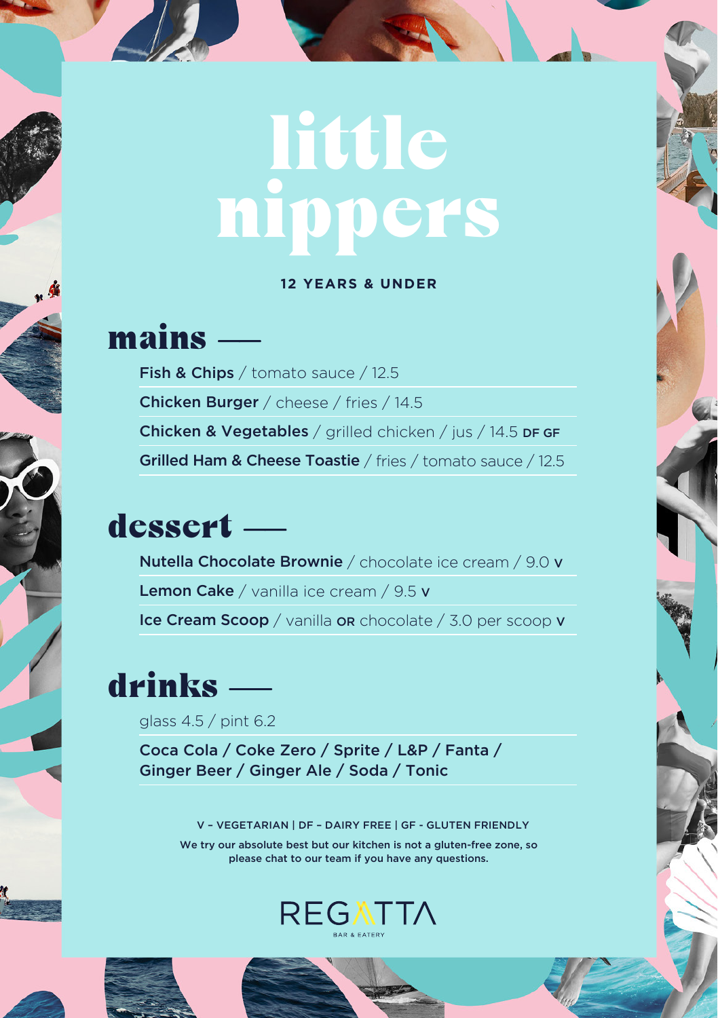# **little** nippers

#### **12 YEARS & UNDER**

### mains -

Fish & Chips / tomato sauce / 12.5 Chicken Burger / cheese / fries / 14.5 Chicken & Vegetables / grilled chicken / jus / 14.5 DF GF Grilled Ham & Cheese Toastie / fries / tomato sauce / 12.5

## dessert ——

Nutella Chocolate Brownie / chocolate ice cream / 9.0 V Lemon Cake / vanilla ice cream / 9.5 v Ice Cream Scoop / vanilla OR chocolate / 3.0 per scoop V

## drinks ——

glass 4.5 / pint 6.2

Coca Cola / Coke Zero / Sprite / L&P / Fanta / Ginger Beer / Ginger Ale / Soda / Tonic

V – VEGETARIAN | DF – DAIRY FREE | GF - GLUTEN FRIENDLY

We try our absolute best but our kitchen is not a gluten-free zone, so please chat to our team if you have any questions.





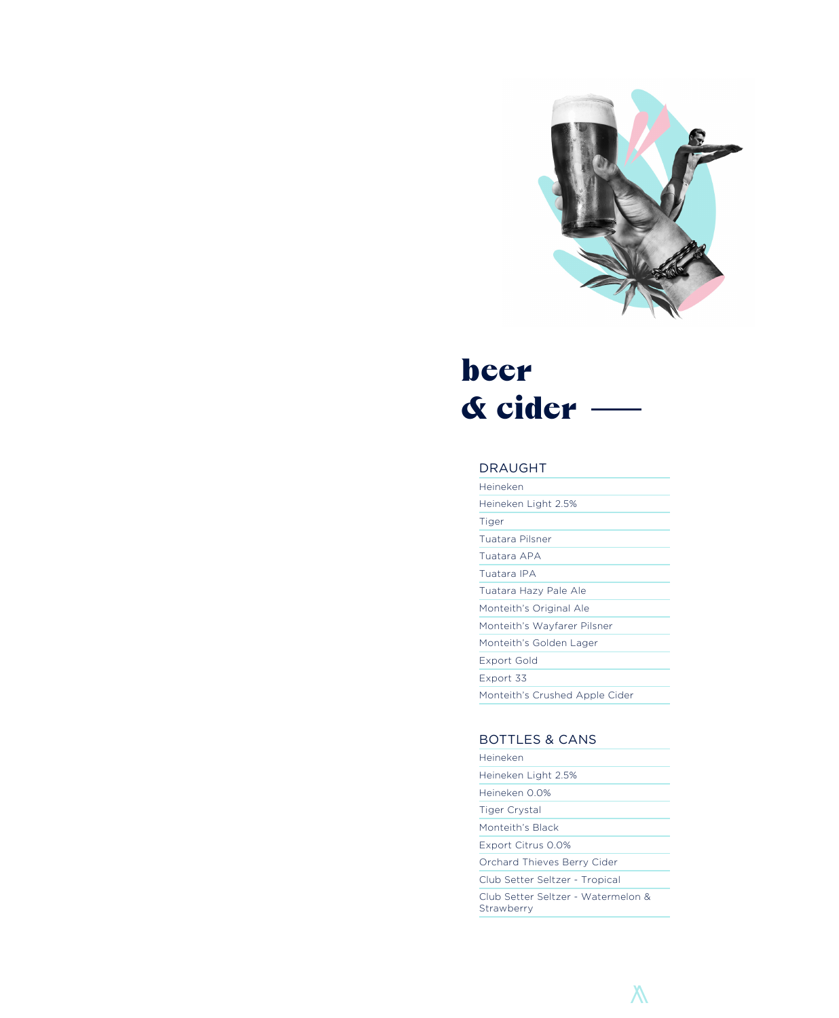

# beer **& cider —**<br>DRAUGHT

| Heineken                       |
|--------------------------------|
| Heineken Light 2.5%            |
| Tiger                          |
| Tuatara Pilsner                |
| Tuatara APA                    |
| Tuatara IPA                    |
| Tuatara Hazy Pale Ale          |
| Monteith's Original Ale        |
| Monteith's Wayfarer Pilsner    |
| Monteith's Golden Lager        |
| Export Gold                    |
| Export 33                      |
| Monteith's Crushed Apple Cider |

### BOTTLES & CANS

| Heineken                                         |
|--------------------------------------------------|
| Heineken Light 2.5%                              |
| Heineken 0.0%                                    |
| Tiger Crystal                                    |
| Monteith's Black                                 |
| Export Citrus 0.0%                               |
| Orchard Thieves Berry Cider                      |
| Club Setter Seltzer - Tropical                   |
| Club Setter Seltzer - Watermelon &<br>Strawberry |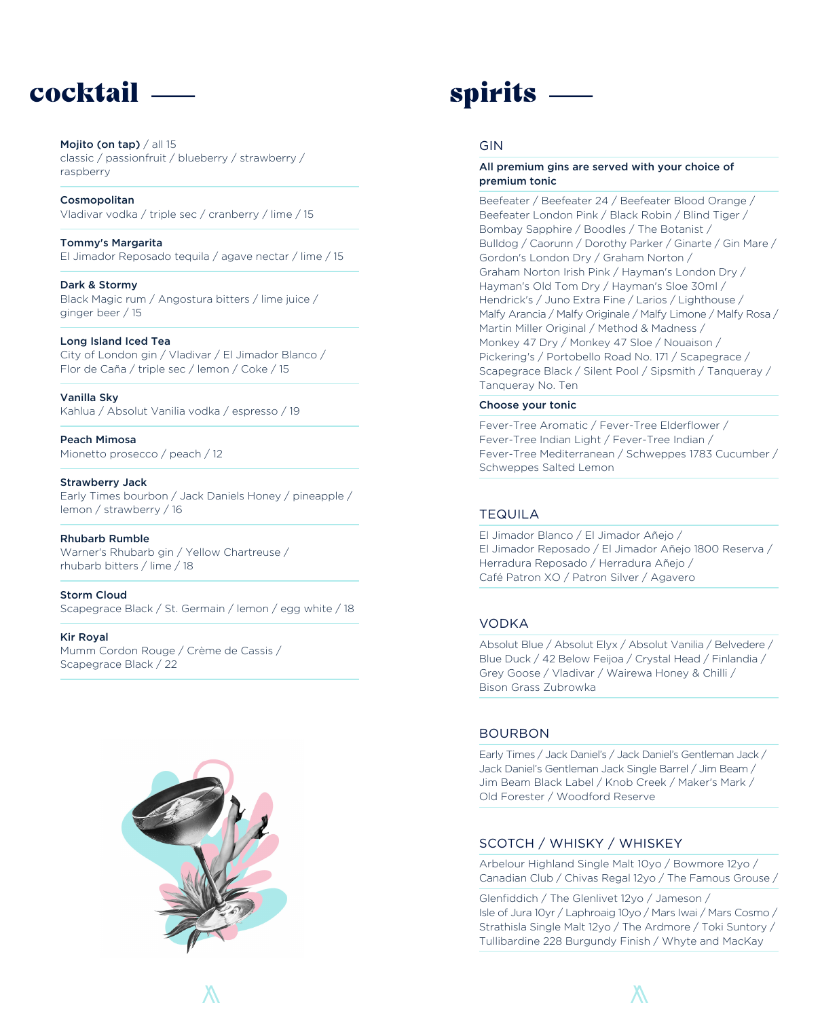# $\text{cocktail} \longrightarrow \text{spirits} \longrightarrow$

#### Mojito (on tap) / all 15 classic / passionfruit / blueberry / strawberry / raspberry

Cosmopolitan Vladivar vodka / triple sec / cranberry / lime / 15

Tommy's Margarita El Jimador Reposado tequila / agave nectar / lime / 15

Dark & Stormy Black Magic rum / Angostura bitters / lime juice / ginger beer / 15

#### Long Island Iced Tea

City of London gin / Vladivar / El Jimador Blanco / Flor de Caña / triple sec / lemon / Coke / 15

Vanilla Sky Kahlua / Absolut Vanilia vodka / espresso / 19

Peach Mimosa Mionetto prosecco / peach / 12

Strawberry Jack Early Times bourbon / Jack Daniels Honey / pineapple / lemon / strawberry / 16

Rhubarb Rumble Warner's Rhubarb gin / Yellow Chartreuse / rhubarb bitters / lime / 18

Storm Cloud Scapegrace Black / St. Germain / lemon / egg white / 18

#### Kir Royal

Mumm Cordon Rouge / Crème de Cassis / Scapegrace Black / 22



#### GIN

#### All premium gins are served with your choice of premium tonic

Beefeater / Beefeater 24 / Beefeater Blood Orange / Beefeater London Pink / Black Robin / Blind Tiger / Bombay Sapphire / Boodles / The Botanist / Bulldog / Caorunn / Dorothy Parker / Ginarte / Gin Mare / Gordon's London Dry / Graham Norton / Graham Norton Irish Pink / Hayman's London Dry / Hayman's Old Tom Dry / Hayman's Sloe 30ml / Hendrick's / Juno Extra Fine / Larios / Lighthouse / Malfy Arancia / Malfy Originale / Malfy Limone / Malfy Rosa / Martin Miller Original / Method & Madness / Monkey 47 Dry / Monkey 47 Sloe / Nouaison / Pickering's / Portobello Road No. 171 / Scapegrace / Scapegrace Black / Silent Pool / Sipsmith / Tanqueray / Tanqueray No. Ten

#### Choose your tonic

Fever-Tree Aromatic / Fever-Tree Elderflower / Fever-Tree Indian Light / Fever-Tree Indian / Fever-Tree Mediterranean / Schweppes 1783 Cucumber / Schweppes Salted Lemon

#### TEQUILA

El Jimador Blanco / El Jimador Añejo / El Jimador Reposado / El Jimador Añejo 1800 Reserva / Herradura Reposado / Herradura Añejo / Café Patron XO / Patron Silver / Agavero

#### VODKA

Absolut Blue / Absolut Elyx / Absolut Vanilia / Belvedere / Blue Duck / 42 Below Feijoa / Crystal Head / Finlandia / Grey Goose / Vladivar / Wairewa Honey & Chilli / Bison Grass Zubrowka

#### BOURBON

Early Times / Jack Daniel's / Jack Daniel's Gentleman Jack / Jack Daniel's Gentleman Jack Single Barrel / Jim Beam / Jim Beam Black Label / Knob Creek / Maker's Mark / Old Forester / Woodford Reserve

#### SCOTCH / WHISKY / WHISKEY

Arbelour Highland Single Malt 10yo / Bowmore 12yo / Canadian Club / Chivas Regal 12yo / The Famous Grouse /

Glenfiddich / The Glenlivet 12yo / Jameson / Isle of Jura 10yr / Laphroaig 10yo / Mars Iwai / Mars Cosmo / Strathisla Single Malt 12yo / The Ardmore / Toki Suntory / Tullibardine 228 Burgundy Finish / Whyte and MacKay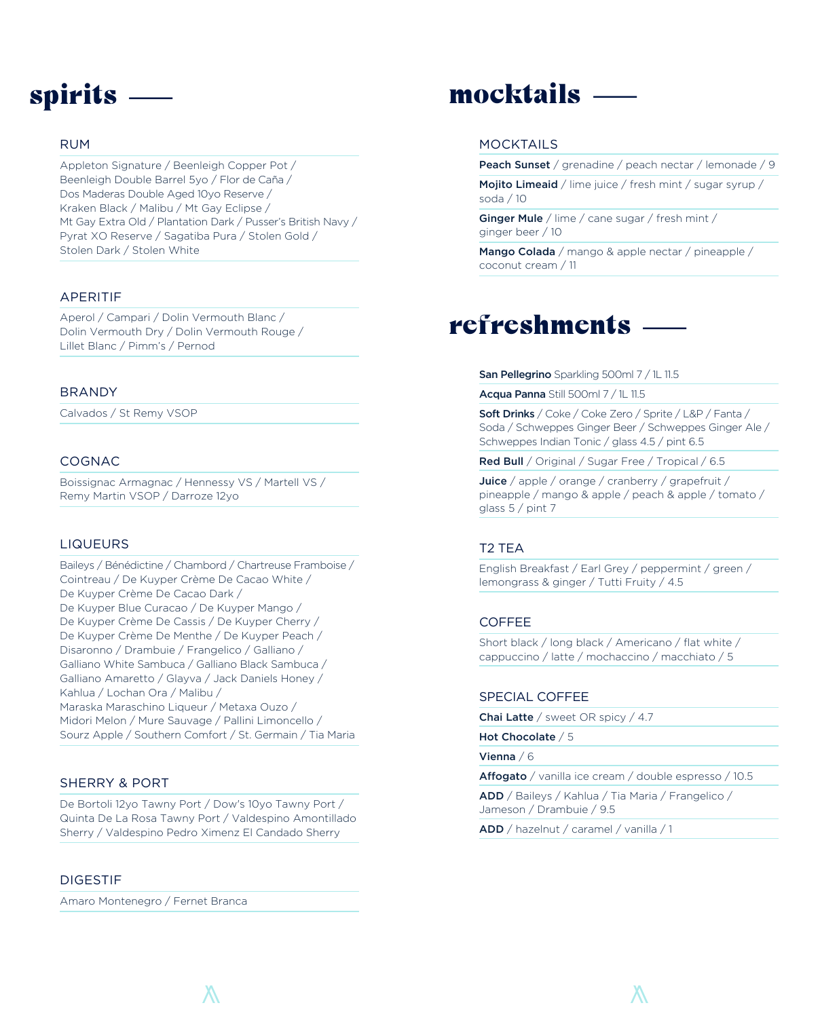#### RUM

Appleton Signature / Beenleigh Copper Pot / Beenleigh Double Barrel 5yo / Flor de Caña / Dos Maderas Double Aged 10yo Reserve / Kraken Black / Malibu / Mt Gay Eclipse / Mt Gay Extra Old / Plantation Dark / Pusser's British Navy / Pyrat XO Reserve / Sagatiba Pura / Stolen Gold / Stolen Dark / Stolen White

#### APERITIF

Aperol / Campari / Dolin Vermouth Blanc / Dolin Vermouth Dry / Dolin Vermouth Rouge / Lillet Blanc / Pimm's / Pernod

#### BRANDY

Calvados / St Remy VSOP

#### COGNAC

Boissignac Armagnac / Hennessy VS / Martell VS / Remy Martin VSOP / Darroze 12yo

#### LIQUEURS

Baileys / Bénédictine / Chambord / Chartreuse Framboise / Cointreau / De Kuyper Crème De Cacao White / De Kuyper Crème De Cacao Dark / De Kuyper Blue Curacao / De Kuyper Mango / De Kuyper Crème De Cassis / De Kuyper Cherry / De Kuyper Crème De Menthe / De Kuyper Peach / Disaronno / Drambuie / Frangelico / Galliano / Galliano White Sambuca / Galliano Black Sambuca / Galliano Amaretto / Glayva / Jack Daniels Honey / Kahlua / Lochan Ora / Malibu / Maraska Maraschino Liqueur / Metaxa Ouzo / Midori Melon / Mure Sauvage / Pallini Limoncello / Sourz Apple / Southern Comfort / St. Germain / Tia Maria

#### SHERRY & PORT

De Bortoli 12yo Tawny Port / Dow's 10yo Tawny Port / Quinta De La Rosa Tawny Port / Valdespino Amontillado Sherry / Valdespino Pedro Ximenz El Candado Sherry

#### DIGESTIF

Amaro Montenegro / Fernet Branca

# Spirits — mocktails —

#### MOCKTAILS

Peach Sunset / grenadine / peach nectar / lemonade / 9

Mojito Limeaid / lime juice / fresh mint / sugar syrup / soda / 10

Ginger Mule / lime / cane sugar / fresh mint / ginger beer / 10

Mango Colada / mango & apple nectar / pineapple / coconut cream / 11

# refreshments -

#### San Pellegrino Sparkling 500ml 7 / 1L 11.5

Acqua Panna Still 500ml 7 / 1L 11.5

Soft Drinks / Coke / Coke Zero / Sprite / L&P / Fanta / Soda / Schweppes Ginger Beer / Schweppes Ginger Ale / Schweppes Indian Tonic / glass 4.5 / pint 6.5

Red Bull / Original / Sugar Free / Tropical / 6.5

Juice / apple / orange / cranberry / grapefruit / pineapple / mango & apple / peach & apple / tomato / glass 5 / pint 7

#### T2 TEA

English Breakfast / Earl Grey / peppermint / green / lemongrass & ginger / Tutti Fruity / 4.5

#### COFFEE

Short black / long black / Americano / flat white / cappuccino / latte / mochaccino / macchiato / 5

#### SPECIAL COFFEE

Chai Latte / sweet OR spicy / 4.7

Hot Chocolate / 5

Vienna / 6

Affogato / vanilla ice cream / double espresso / 10.5

ADD / Baileys / Kahlua / Tia Maria / Frangelico / Jameson / Drambuie / 9.5

ADD / hazelnut / caramel / vanilla / 1